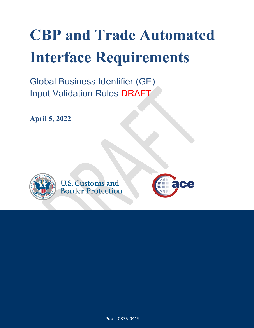# **CBP and Trade Automated Interface Requirements**

Global Business Identifier (GE) Input Validation Rules DRAFT

**April 5, 2022**



**U.S. Customs and Border Protection** 



 $\mathcal{A} = \mathcal{A} \cup \mathcal{A}$ Pub # 0875-0419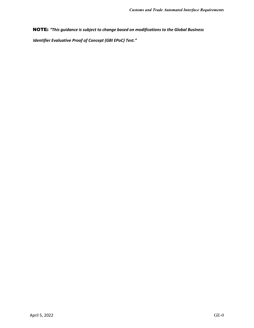NOTE: *"This guidance is subject to change based on modifications to the Global Business*

 *Identifier Evaluative Proof of Concept (GBI EPoC) Test."*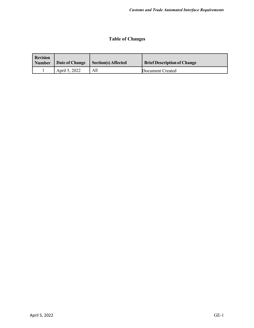# **Table of Changes**

| <b>Revision</b><br><b>Number</b> | Date of Change | <b>Section(s) Affected</b> | <b>Brief Description of Change</b> |
|----------------------------------|----------------|----------------------------|------------------------------------|
|                                  | April 5, 2022  | All                        | Document Created                   |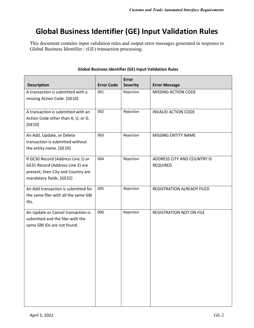# **Global Business Identifier (GE) Input Validation Rules**

This document contains input validation rules and output error messages generated in response to Global Business Identifier / (GE) transaction processing.

| <b>Description</b>                                                                                                                       | <b>Error Code</b> | <b>Error</b><br><b>Severity</b> | <b>Error Message</b>                           |
|------------------------------------------------------------------------------------------------------------------------------------------|-------------------|---------------------------------|------------------------------------------------|
| A transaction is submitted with a<br>missing Action Code. [GE10]                                                                         | 001               | Rejection                       | MISSING ACTION CODE                            |
| A transaction is submitted with an<br>Action Code other than A, U, or D.<br>[GE10]                                                       | 002               | Rejection                       | <b>INVALID ACTION CODE</b>                     |
| An Add, Update, or Delete<br>transaction is submitted without<br>the entity name. [GE10]                                                 | 003               | Rejection                       | MISSING ENTITY NAME                            |
| If GE30 Record (Address Line 1) or<br>GE31 Record (Address Line 2) are<br>present, then City and Country are<br>mandatory fields. [GE32] | 004               | Rejection                       | ADDRESS CITY AND COUNTRY IS<br><b>REQUIRED</b> |
| An Add transaction is submitted for<br>the same filer with all the same GBI<br>IDs.                                                      | 005               | Rejection                       | REGISTRATION ALREADY FILED                     |
| An Update or Cancel transaction is<br>submitted and the filer with the<br>same GBI IDs are not found.                                    | 006               | Rejection                       | <b>REGISTRATION NOT ON FILE</b>                |

#### **Global Business Identifier (GE) Input Validation Rules**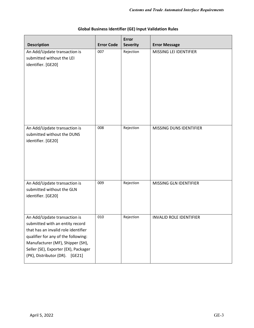| <b>Description</b>                                                                                                                                                                                                                                          | <b>Error Code</b> | <b>Error</b><br><b>Severity</b> | <b>Error Message</b>           |
|-------------------------------------------------------------------------------------------------------------------------------------------------------------------------------------------------------------------------------------------------------------|-------------------|---------------------------------|--------------------------------|
| An Add/Update transaction is<br>submitted without the LEI<br>identifier. [GE20]                                                                                                                                                                             | 007               | Rejection                       | MISSING LEI IDENTIFIER         |
| An Add/Update transaction is<br>submitted without the DUNS<br>identifier. [GE20]                                                                                                                                                                            | 008               | Rejection                       | MISSING DUNS IDENTIFIER        |
| An Add/Update transaction is<br>submitted without the GLN<br>identifier. [GE20]                                                                                                                                                                             | 009               | Rejection                       | MISSING GLN IDENTIFIER         |
| An Add/Update transaction is<br>submitted with an entity record<br>that has an invalid role identifier<br>qualifier for any of the following:<br>Manufacturer (MF), Shipper (SH),<br>Seller (SE), Exporter (EX), Packager<br>(PK), Distributor (DR). [GE21] | 010               | Rejection                       | <b>INVALID ROLE IDENTIFIER</b> |

## **Global Business Identifier (GE) Input Validation Rules**